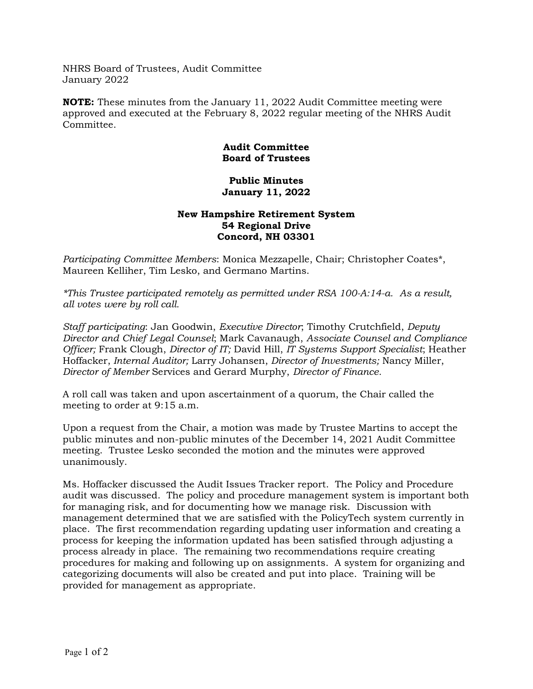NHRS Board of Trustees, Audit Committee January 2022

NOTE: These minutes from the January 11, 2022 Audit Committee meeting were approved and executed at the February 8, 2022 regular meeting of the NHRS Audit Committee.

## Audit Committee Board of Trustees

## Public Minutes January 11, 2022

## New Hampshire Retirement System 54 Regional Drive Concord, NH 03301

Participating Committee Members: Monica Mezzapelle, Chair; Christopher Coates\*, Maureen Kelliher, Tim Lesko, and Germano Martins.

\*This Trustee participated remotely as permitted under RSA 100-A:14-a. As a result, all votes were by roll call.

Staff participating: Jan Goodwin, Executive Director; Timothy Crutchfield, Deputy Director and Chief Legal Counsel; Mark Cavanaugh, Associate Counsel and Compliance Officer; Frank Clough, Director of IT; David Hill, IT Systems Support Specialist; Heather Hoffacker, Internal Auditor; Larry Johansen, Director of Investments; Nancy Miller, Director of Member Services and Gerard Murphy, Director of Finance.

A roll call was taken and upon ascertainment of a quorum, the Chair called the meeting to order at 9:15 a.m.

Upon a request from the Chair, a motion was made by Trustee Martins to accept the public minutes and non-public minutes of the December 14, 2021 Audit Committee meeting. Trustee Lesko seconded the motion and the minutes were approved unanimously.

Ms. Hoffacker discussed the Audit Issues Tracker report. The Policy and Procedure audit was discussed. The policy and procedure management system is important both for managing risk, and for documenting how we manage risk. Discussion with management determined that we are satisfied with the PolicyTech system currently in place. The first recommendation regarding updating user information and creating a process for keeping the information updated has been satisfied through adjusting a process already in place. The remaining two recommendations require creating procedures for making and following up on assignments. A system for organizing and categorizing documents will also be created and put into place. Training will be provided for management as appropriate.